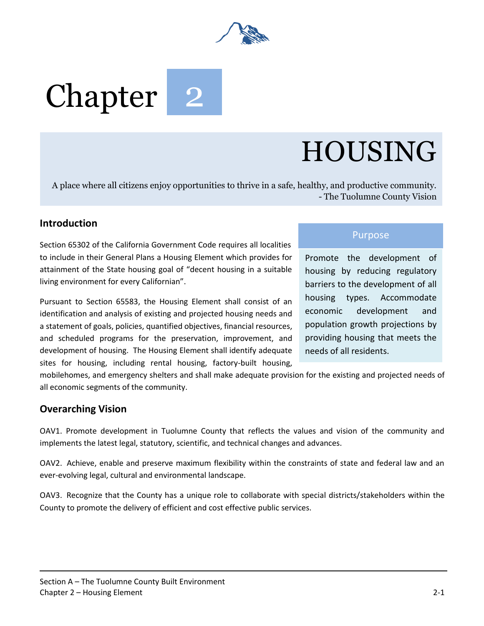

# Chapter

# HOUSING

A place where all citizens enjoy opportunities to thrive in a safe, healthy, and productive community. - The Tuolumne County Vision

### **Introduction**

Section 65302 of the California Government Code requires all localities to include in their General Plans a Housing Element which provides for attainment of the State housing goal of "decent housing in a suitable living environment for every Californian".

Pursuant to Section 65583, the Housing Element shall consist of an identification and analysis of existing and projected housing needs and a statement of goals, policies, quantified objectives, financial resources, and scheduled programs for the preservation, improvement, and development of housing. The Housing Element shall identify adequate sites for housing, including rental housing, factory-built housing,

#### Purpose

Promote the development of housing by reducing regulatory barriers to the development of all housing types. Accommodate economic development and population growth projections by providing housing that meets the needs of all residents.

mobilehomes, and emergency shelters and shall make adequate provision for the existing and projected needs of all economic segments of the community.

#### **Overarching Vision**

OAV1. Promote development in Tuolumne County that reflects the values and vision of the community and implements the latest legal, statutory, scientific, and technical changes and advances.

OAV2. Achieve, enable and preserve maximum flexibility within the constraints of state and federal law and an ever-evolving legal, cultural and environmental landscape.

OAV3. Recognize that the County has a unique role to collaborate with special districts/stakeholders within the County to promote the delivery of efficient and cost effective public services.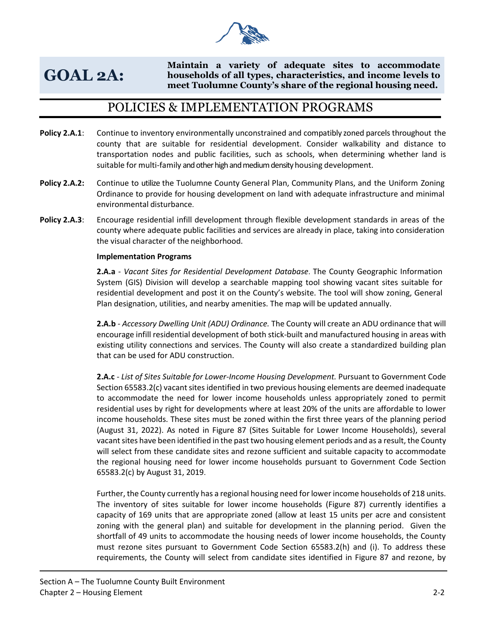

## **GOAL 2A:**

**Maintain a variety of adequate sites to accommodate households of all types, characteristics, and income levels to meet Tuolumne County's share of the regional housing need.** 

## POLICIES & IMPLEMENTATION PROGRAMS

- **Policy 2.A.1**: Continue to inventory environmentally unconstrained and compatibly zoned parcels throughout the county that are suitable for residential development. Consider walkability and distance to transportation nodes and public facilities, such as schools, when determining whether land is suitable for multi-family and other high and medium density housing development.
- **Policy 2.A.2:** Continue to utilize the Tuolumne County General Plan, Community Plans, and the Uniform Zoning Ordinance to provide for housing development on land with adequate infrastructure and minimal environmental disturbance.
- **Policy 2.A.3**: Encourage residential infill development through flexible development standards in areas of the county where adequate public facilities and services are already in place, taking into consideration the visual character of the neighborhood.

#### **Implementation Programs**

**2.A.a** - *Vacant Sites for Residential Development Database*. The County Geographic Information System (GIS) Division will develop a searchable mapping tool showing vacant sites suitable for residential development and post it on the County's website. The tool will show zoning, General Plan designation, utilities, and nearby amenities. The map will be updated annually.

**2.A.b** - *Accessory Dwelling Unit (ADU) Ordinance.* The County will create an ADU ordinance that will encourage infill residential development of both stick-built and manufactured housing in areas with existing utility connections and services. The County will also create a standardized building plan that can be used for ADU construction.

**2.A.c** - *List of Sites Suitable for Lower-Income Housing Development.* Pursuant to Government Code Section 65583.2(c) vacant sites identified in two previous housing elements are deemed inadequate to accommodate the need for lower income households unless appropriately zoned to permit residential uses by right for developments where at least 20% of the units are affordable to lower income households. These sites must be zoned within the first three years of the planning period (August 31, 2022). As noted in Figure 87 (Sites Suitable for Lower Income Households), several vacant sites have been identified in the past two housing element periods and as a result, the County will select from these candidate sites and rezone sufficient and suitable capacity to accommodate the regional housing need for lower income households pursuant to Government Code Section 65583.2(c) by August 31, 2019.

Further, the County currently has a regional housing need for lower income households of 218 units. The inventory of sites suitable for lower income households (Figure 87) currently identifies a capacity of 169 units that are appropriate zoned (allow at least 15 units per acre and consistent zoning with the general plan) and suitable for development in the planning period. Given the shortfall of 49 units to accommodate the housing needs of lower income households, the County must rezone sites pursuant to Government Code Section 65583.2(h) and (i). To address these requirements, the County will select from candidate sites identified in Figure 87 and rezone, by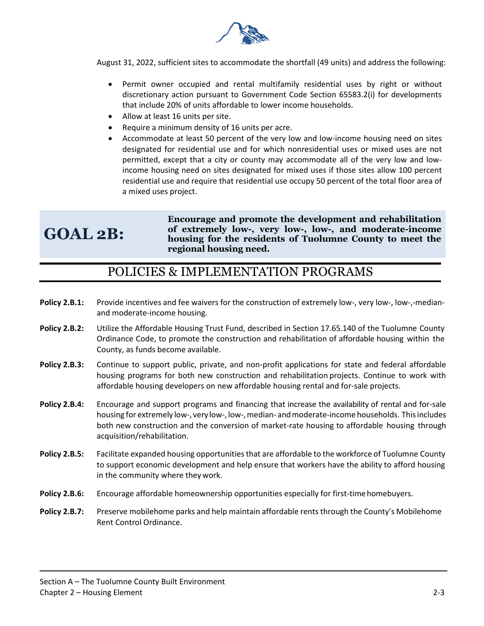

August 31, 2022, sufficient sites to accommodate the shortfall (49 units) and address the following:

- Permit owner occupied and rental multifamily residential uses by right or without discretionary action pursuant to Government Code Section 65583.2(i) for developments that include 20% of units affordable to lower income households.
- Allow at least 16 units per site.
- Require a minimum density of 16 units per acre.
- Accommodate at least 50 percent of the very low and low-income housing need on sites designated for residential use and for which nonresidential uses or mixed uses are not permitted, except that a city or county may accommodate all of the very low and lowincome housing need on sites designated for mixed uses if those sites allow 100 percent residential use and require that residential use occupy 50 percent of the total floor area of a mixed uses project.

# **GOAL 2B:**

**Encourage and promote the development and rehabilitation of extremely low-, very low-, low-, and moderate-income housing for the residents of Tuolumne County to meet the regional housing need.**

## POLICIES & IMPLEMENTATION PROGRAMS

- **Policy 2.B.1:** Provide incentives and fee waivers for the construction of extremely low-, very low-, low-,-medianand moderate-income housing.
- **Policy 2.B.2:** Utilize the Affordable Housing Trust Fund, described in Section 17.65.140 of the Tuolumne County Ordinance Code, to promote the construction and rehabilitation of affordable housing within the County, as funds become available.
- **Policy 2.B.3:** Continue to support public, private, and non-profit applications for state and federal affordable housing programs for both new construction and rehabilitation projects. Continue to work with affordable housing developers on new affordable housing rental and for-sale projects.
- **Policy 2.B.4:** Encourage and support programs and financing that increase the availability of rental and for-sale housing for extremely low-, very low-, low-, median- and moderate-income households. This includes both new construction and the conversion of market-rate housing to affordable housing through acquisition/rehabilitation.
- **Policy 2.B.5:** Facilitate expanded housing opportunities that are affordable to the workforce of Tuolumne County to support economic development and help ensure that workers have the ability to afford housing in the community where theywork.
- **Policy 2.B.6:** Encourage affordable homeownership opportunities especially for first-time homebuyers.
- **Policy 2.B.7:** Preserve mobilehome parks and help maintain affordable rents through the County's Mobilehome Rent Control Ordinance.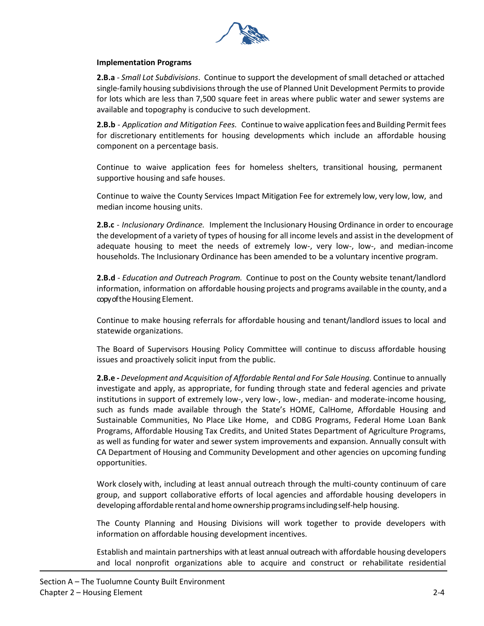

#### **Implementation Programs**

**2.B.a** - *Small Lot Subdivisions*. Continue to support the development of small detached or attached single-family housing subdivisions through the use of Planned Unit Development Permits to provide for lots which are less than 7,500 square feet in areas where public water and sewer systems are available and topography is conducive to such development.

**2.B.b** - *Application and Mitigation Fees.* Continue to waive application fees and Building Permitfees for discretionary entitlements for housing developments which include an affordable housing component on a percentage basis.

Continue to waive application fees for homeless shelters, transitional housing, permanent supportive housing and safe houses.

Continue to waive the County Services Impact Mitigation Fee for extremely low, very low, low, and median income housing units.

**2.B.c** - *Inclusionary Ordinance.* Implement the Inclusionary Housing Ordinance in order to encourage the development of a variety of types of housing for all income levels and assist in the development of adequate housing to meet the needs of extremely low-, very low-, low-, and median-income households. The Inclusionary Ordinance has been amended to be a voluntary incentive program.

**2.B.d** - *Education and Outreach Program.* Continue to post on the County website tenant/landlord information, information on affordable housing projects and programs available in the county, and a copy of the Housing Element.

Continue to make housing referrals for affordable housing and tenant/landlord issues to local and statewide organizations.

The Board of Supervisors Housing Policy Committee will continue to discuss affordable housing issues and proactively solicit input from the public.

**2.B.e -** *Development and Acquisition of Affordable Rental and For Sale Housing.* Continue to annually investigate and apply, as appropriate, for funding through state and federal agencies and private institutions in support of extremely low-, very low-, low-, median- and moderate-income housing, such as funds made available through the State's HOME, CalHome, Affordable Housing and Sustainable Communities, No Place Like Home, and CDBG Programs, Federal Home Loan Bank Programs, Affordable Housing Tax Credits, and United States Department of Agriculture Programs, as well as funding for water and sewer system improvements and expansion. Annually consult with CA Department of Housing and Community Development and other agencies on upcoming funding opportunities.

Work closely with, including at least annual outreach through the multi-county continuum of care group, and support collaborative efforts of local agencies and affordable housing developers in developing affordable rental and home ownershipprogramsincludingself-help housing.

The County Planning and Housing Divisions will work together to provide developers with information on affordable housing development incentives.

Establish and maintain partnerships with at least annual outreach with affordable housing developers and local nonprofit organizations able to acquire and construct or rehabilitate residential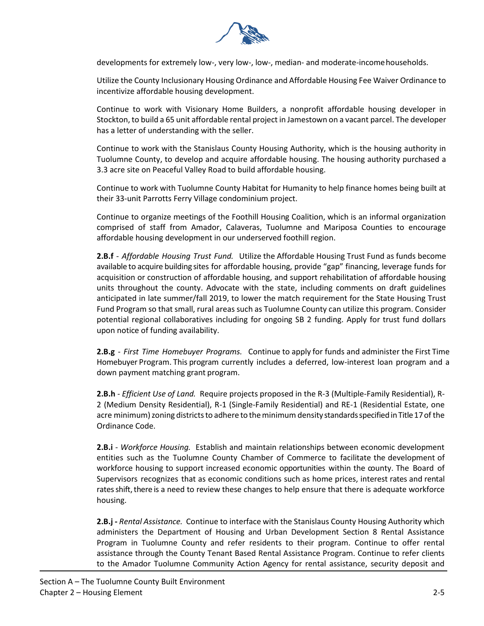

developments for extremely low-, very low-, low-, median- and moderate-incomehouseholds.

Utilize the County Inclusionary Housing Ordinance and Affordable Housing Fee Waiver Ordinance to incentivize affordable housing development.

Continue to work with Visionary Home Builders, a nonprofit affordable housing developer in Stockton, to build a 65 unit affordable rental project in Jamestown on a vacant parcel. The developer has a letter of understanding with the seller.

Continue to work with the Stanislaus County Housing Authority, which is the housing authority in Tuolumne County, to develop and acquire affordable housing. The housing authority purchased a 3.3 acre site on Peaceful Valley Road to build affordable housing.

Continue to work with Tuolumne County Habitat for Humanity to help finance homes being built at their 33-unit Parrotts Ferry Village condominium project.

Continue to organize meetings of the Foothill Housing Coalition, which is an informal organization comprised of staff from Amador, Calaveras, Tuolumne and Mariposa Counties to encourage affordable housing development in our underserved foothill region.

**2.B.f** - *Affordable Housing Trust Fund.* Utilize the Affordable Housing Trust Fund as funds become available to acquire building sites for affordable housing, provide "gap" financing, leverage funds for acquisition or construction of affordable housing, and support rehabilitation of affordable housing units throughout the county. Advocate with the state, including comments on draft guidelines anticipated in late summer/fall 2019, to lower the match requirement for the State Housing Trust Fund Program so that small, rural areas such as Tuolumne County can utilize this program. Consider potential regional collaboratives including for ongoing SB 2 funding. Apply for trust fund dollars upon notice of funding availability.

**2.B.g** - *First Time Homebuyer Programs.* Continue to apply for funds and administer the First Time Homebuyer Program. This program currently includes a deferred, low-interest loan program and a down payment matching grant program.

**2.B.h** - *Efficient Use of Land.* Require projects proposed in the R-3 (Multiple-Family Residential), R-2 (Medium Density Residential), R-1 (Single-Family Residential) and RE-1 (Residential Estate, one acre minimum) zoning districts to adhere to the minimum density standards specified in Title 17 of the Ordinance Code.

**2.B.i** - *Workforce Housing.* Establish and maintain relationships between economic development entities such as the Tuolumne County Chamber of Commerce to facilitate the development of workforce housing to support increased economic opportunities within the county. The Board of Supervisors recognizes that as economic conditions such as home prices, interest rates and rental rates shift, there is a need to review these changes to help ensure that there is adequate workforce housing.

**2.B.j -** *Rental Assistance.* Continue to interface with the Stanislaus County Housing Authority which administers the Department of Housing and Urban Development Section 8 Rental Assistance Program in Tuolumne County and refer residents to their program. Continue to offer rental assistance through the County Tenant Based Rental Assistance Program. Continue to refer clients to the Amador Tuolumne Community Action Agency for rental assistance, security deposit and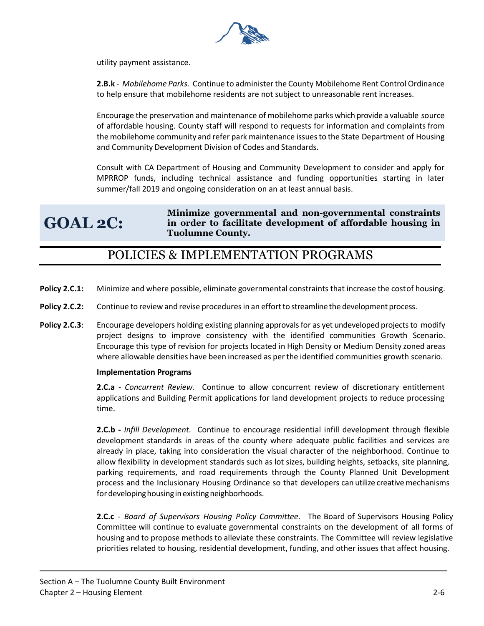

utility payment assistance.

**2.B.k** - *Mobilehome Parks.* Continue to administer the County Mobilehome Rent Control Ordinance to help ensure that mobilehome residents are not subject to unreasonable rent increases.

Encourage the preservation and maintenance of mobilehome parks which provide a valuable source of affordable housing. County staff will respond to requests for information and complaints from the mobilehome community and refer park maintenance issuesto the State Department of Housing and Community Development Division of Codes and Standards.

Consult with CA Department of Housing and Community Development to consider and apply for MPRROP funds, including technical assistance and funding opportunities starting in later summer/fall 2019 and ongoing consideration on an at least annual basis.

**GOAL 2C: Minimize governmental and non-governmental constraints in order to facilitate development of affordable housing in Tuolumne County.**

## POLICIES & IMPLEMENTATION PROGRAMS

- **Policy 2.C.1:** Minimize and where possible, eliminate governmental constraints that increase the costof housing.
- **Policy 2.C.2:** Continue to review and revise procedures in an effort to streamline the development process.
- **Policy 2.C.3:** Encourage developers holding existing planning approvals for as yet undeveloped projects to modify project designs to improve consistency with the identified communities Growth Scenario. Encourage this type of revision for projects located in High Density or Medium Density zoned areas where allowable densities have been increased as perthe identified communities growth scenario.

#### **Implementation Programs**

**2.C.a** - *Concurrent Review.* Continue to allow concurrent review of discretionary entitlement applications and Building Permit applications for land development projects to reduce processing time.

**2.C.b -** *Infill Development.* Continue to encourage residential infill development through flexible development standards in areas of the county where adequate public facilities and services are already in place, taking into consideration the visual character of the neighborhood. Continue to allow flexibility in development standards such as lot sizes, building heights, setbacks, site planning, parking requirements, and road requirements through the County Planned Unit Development process and the Inclusionary Housing Ordinance so that developers can utilize creativemechanisms for developing housing in existing neighborhoods.

**2.C.c** - *Board of Supervisors Housing Policy Committee*. The Board of Supervisors Housing Policy Committee will continue to evaluate governmental constraints on the development of all forms of housing and to propose methods to alleviate these constraints. The Committee will review legislative priorities related to housing, residential development, funding, and other issues that affect housing.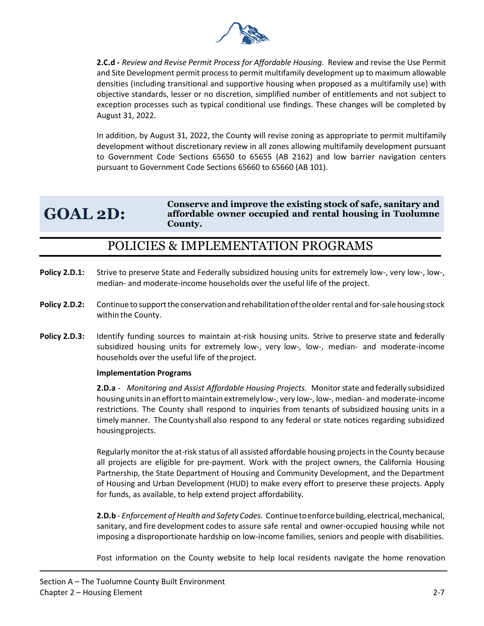

**2.C.d -** *Review and Revise Permit Process for Affordable Housing.* Review and revise the Use Permit and Site Development permit process to permit multifamily development up to maximum allowable densities (including transitional and supportive housing when proposed as a multifamily use) with objective standards, lesser or no discretion, simplified number of entitlements and not subject to exception processes such as typical conditional use findings. These changes will be completed by August 31, 2022.

In addition, by August 31, 2022, the County will revise zoning as appropriate to permit multifamily development without discretionary review in all zones allowing multifamily development pursuant to Government Code Sections 65650 to 65655 (AB 2162) and low barrier navigation centers pursuant to Government Code Sections 65660 to 65660 (AB 101).

# **GOAL 2D:**

**Conserve and improve the existing stock of safe, sanitary and affordable owner occupied and rental housing in Tuolumne County.**

## POLICIES & IMPLEMENTATION PROGRAMS

- Policy 2.D.1: Strive to preserve State and Federally subsidized housing units for extremely low-, very low-, low-, median- and moderate-income households over the useful life of the project.
- **Policy 2.D.2:** Continue to support the conservation and rehabilitation of the older rental and for-sale housing stock within the County.
- **Policy 2.D.3:** Identify funding sources to maintain at-risk housing units. Strive to preserve state and federally subsidized housing units for extremely low-, very low-, low-, median- and moderate-income households over the useful life of theproject.

#### **Implementation Programs**

**2.D.a** - *Monitoring and Assist Affordable Housing Projects.* Monitor state and federally subsidized housingunitsinanefforttomaintainextremelylow-, very low-, low-, median- and moderate-income restrictions. The County shall respond to inquiries from tenants of subsidized housing units in a timely manner. The County shall also respond to any federal or state notices regarding subsidized housingprojects.

Regularly monitor the at-risk status of all assisted affordable housing projects in the County because all projects are eligible for pre-payment. Work with the project owners, the California Housing Partnership, the State Department of Housing and Community Development, and the Department of Housing and Urban Development (HUD) to make every effort to preserve these projects. Apply for funds, as available, to help extend project affordability.

**2.D.b** - *Enforcement of Health and Safety Codes.* Continuetoenforcebuilding,electrical,mechanical, sanitary, and fire development codes to assure safe rental and owner-occupied housing while not imposing a disproportionate hardship on low-income families, seniors and people with disabilities.

Post information on the County website to help local residents navigate the home renovation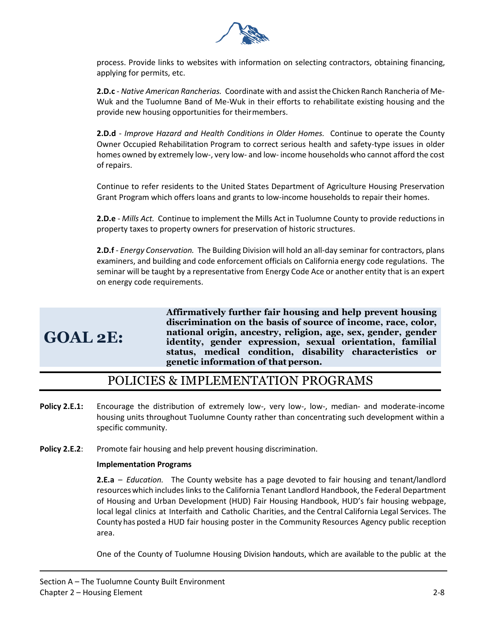

process. Provide links to websites with information on selecting contractors, obtaining financing, applying for permits, etc.

**2.D.c** - *Native American Rancherias.* Coordinate with and assistthe Chicken Ranch Rancheria of Me-Wuk and the Tuolumne Band of Me-Wuk in their efforts to rehabilitate existing housing and the provide new housing opportunities for theirmembers.

**2.D.d** - *Improve Hazard and Health Conditions in Older Homes.* Continue to operate the County Owner Occupied Rehabilitation Program to correct serious health and safety-type issues in older homes owned by extremely low-, very low- and low- income households who cannot afford the cost of repairs.

Continue to refer residents to the United States Department of Agriculture Housing Preservation Grant Program which offers loans and grants to low-income households to repair their homes.

**2.D.e** - *Mills Act.* Continue to implement the Mills Act in Tuolumne County to provide reductions in property taxes to property owners for preservation of historic structures.

**2.D.f** - *Energy Conservation.* The Building Division will hold an all-day seminar for contractors, plans examiners, and building and code enforcement officials on California energy code regulations. The seminar will be taught by a representative from Energy Code Ace or another entity that is an expert on energy code requirements.

# **GOAL 2E:**

**Affirmatively further fair housing and help prevent housing discrimination on the basis of source of income, race, color, national origin, ancestry, religion, age, sex, gender, gender identity, gender expression, sexual orientation, familial status, medical condition, disability characteristics or genetic information of that person.**

## POLICIES & IMPLEMENTATION PROGRAMS

- **Policy 2.E.1:** Encourage the distribution of extremely low-, very low-, low-, median- and moderate-income housing units throughout Tuolumne County rather than concentrating such development within a specific community.
- **Policy 2.E.2**: Promote fair housing and help prevent housing discrimination.

#### **Implementation Programs**

**2.E.a** – *Education.* The County website has a page devoted to fair housing and tenant/landlord resourceswhich includes links to the California Tenant Landlord Handbook, the Federal Department of Housing and Urban Development (HUD) Fair Housing Handbook, HUD's fair housing webpage, local legal clinics at Interfaith and Catholic Charities, and the Central California Legal Services. The County has posted a HUD fair housing poster in the Community Resources Agency public reception area.

One of the County of Tuolumne Housing Division handouts, which are available to the public at the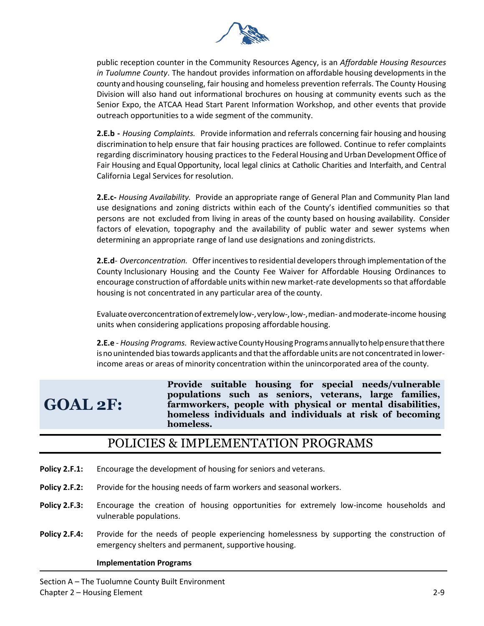

public reception counter in the Community Resources Agency, is an *Affordable Housing Resources*  in Tuolumne County. The handout provides information on affordable housing developments in the county and housing counseling, fair housing and homeless prevention referrals. The County Housing Division will also hand out informational brochures on housing at community events such as the Senior Expo, the ATCAA Head Start Parent Information Workshop, and other events that provide outreach opportunities to a wide segment of the community.

**2.E.b -** *Housing Complaints.* Provide information and referrals concerning fair housing and housing discrimination to help ensure that fair housing practices are followed. Continue to refer complaints regarding discriminatory housing practices to the Federal Housing and Urban Development Office of Fair Housing and EqualOpportunity, local legal clinics at Catholic Charities and Interfaith, and Central California Legal Services for resolution.

**2.E.c-** *Housing Availability.* Provide an appropriate range of General Plan and Community Plan land use designations and zoning districts within each of the County's identified communities so that persons are not excluded from living in areas of the county based on housing availability. Consider factors of elevation, topography and the availability of public water and sewer systems when determining an appropriate range of land use designations and zoningdistricts.

**2.E.d**- *Overconcentration.* Offerincentivesto residential developersthrough implementation of the County Inclusionary Housing and the County Fee Waiver for Affordable Housing Ordinances to encourage construction of affordable units within new market-rate developments so that affordable housing is not concentrated in any particular area of the county.

Evaluate overconcentration of extremely low-, verylow-, low-, median- and moderate-income housing units when considering applications proposing affordable housing.

**2.E.e** - *Housing Programs.* ReviewactiveCountyHousingPrograms annuallytohelpensurethatthere is no unintended bias towards applicants and that the affordable units are not concentrated in lowerincome areas or areas of minority concentration within the unincorporated area of the county.

# **GOAL 2F:**

**Provide suitable housing for special needs/vulnerable populations such as seniors, veterans, large families, farmworkers, people with physical or mental disabilities, homeless individuals and individuals at risk of becoming homeless.**

### POLICIES & IMPLEMENTATION PROGRAMS

- **Policy 2.F.1:** Encourage the development of housing for seniors and veterans.
- **Policy 2.F.2:** Provide for the housing needs of farm workers and seasonal workers.
- **Policy 2.F.3:** Encourage the creation of housing opportunities for extremely low-income households and vulnerable populations.
- **Policy 2.F.4:** Provide for the needs of people experiencing homelessness by supporting the construction of emergency shelters and permanent, supportive housing.

#### **Implementation Programs**